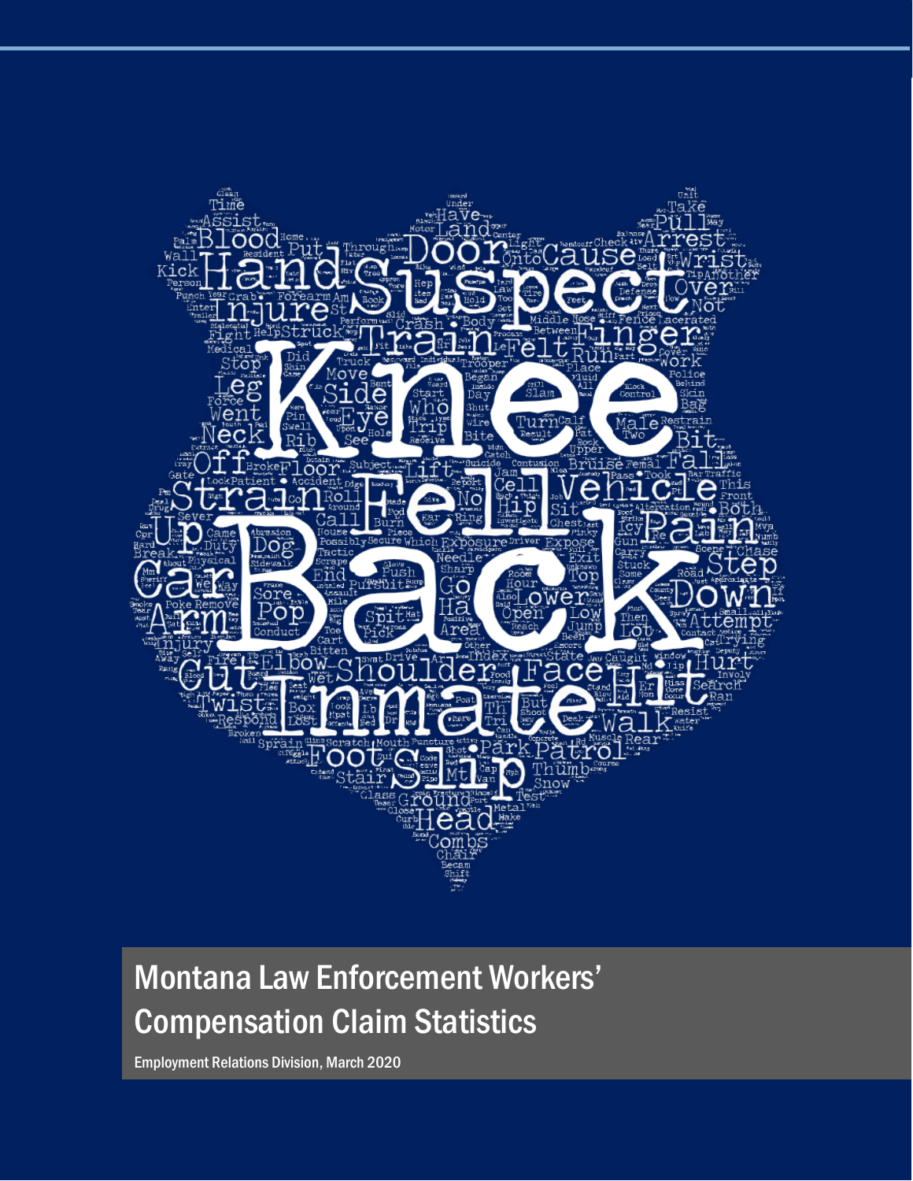

# Montana Law Enforcement Workers' Compensation Claim Statistics

Employment Relations Division, March 2020

i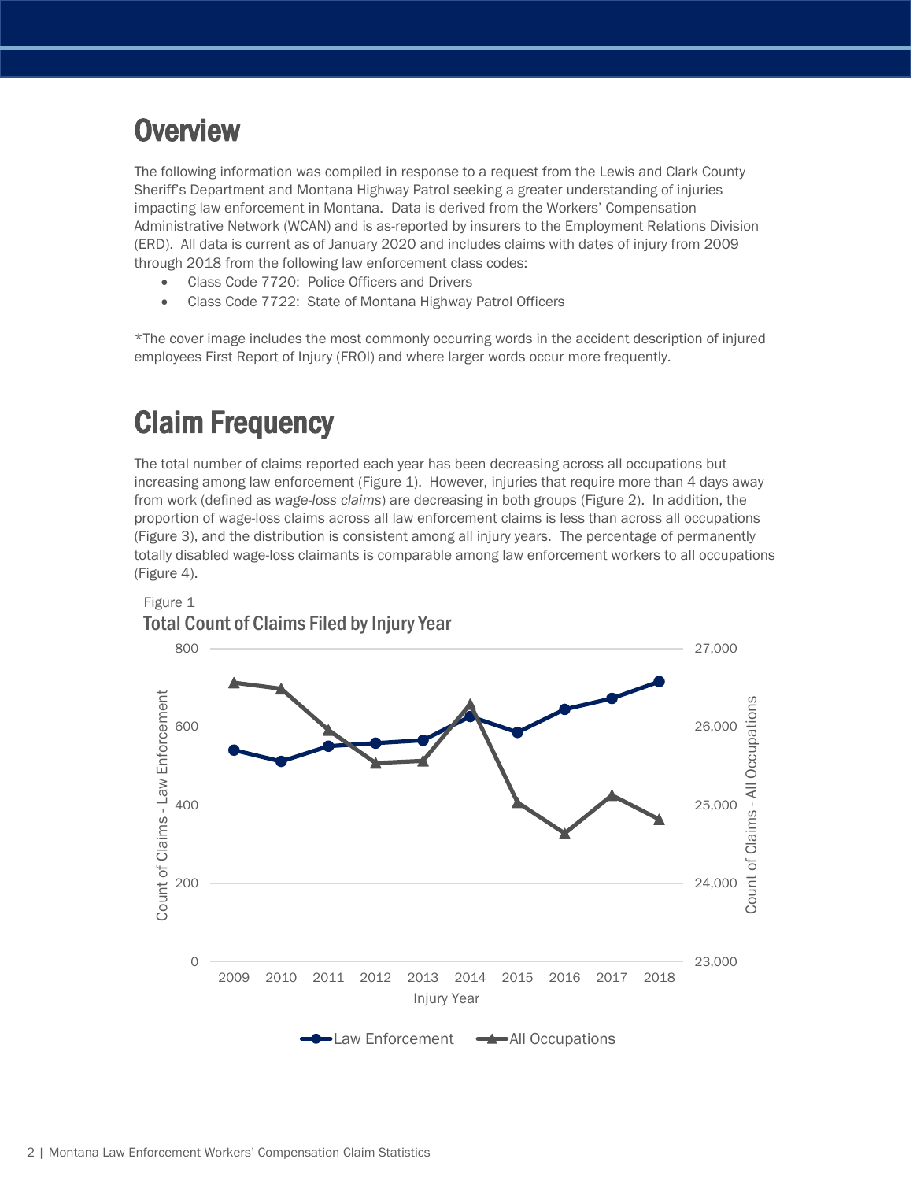## **Overview**

The following information was compiled in response to a request from the Lewis and Clark County Sheriff's Department and Montana Highway Patrol seeking a greater understanding of injuries impacting law enforcement in Montana. Data is derived from the Workers' Compensation Administrative Network (WCAN) and is as-reported by insurers to the Employment Relations Division (ERD). All data is current as of January 2020 and includes claims with dates of injury from 2009 through 2018 from the following law enforcement class codes:

- Class Code 7720: Police Officers and Drivers
- Class Code 7722: State of Montana Highway Patrol Officers

\*The cover image includes the most commonly occurring words in the accident description of injured employees First Report of Injury (FROI) and where larger words occur more frequently.

## Claim Frequency

The total number of claims reported each year has been decreasing across all occupations but increasing among law enforcement (Figure 1). However, injuries that require more than 4 days away from work (defined as *wage-loss claims*) are decreasing in both groups (Figure 2). In addition, the proportion of wage-loss claims across all law enforcement claims is less than across all occupations (Figure 3), and the distribution is consistent among all injury years. The percentage of permanently totally disabled wage-loss claimants is comparable among law enforcement workers to all occupations (Figure 4).

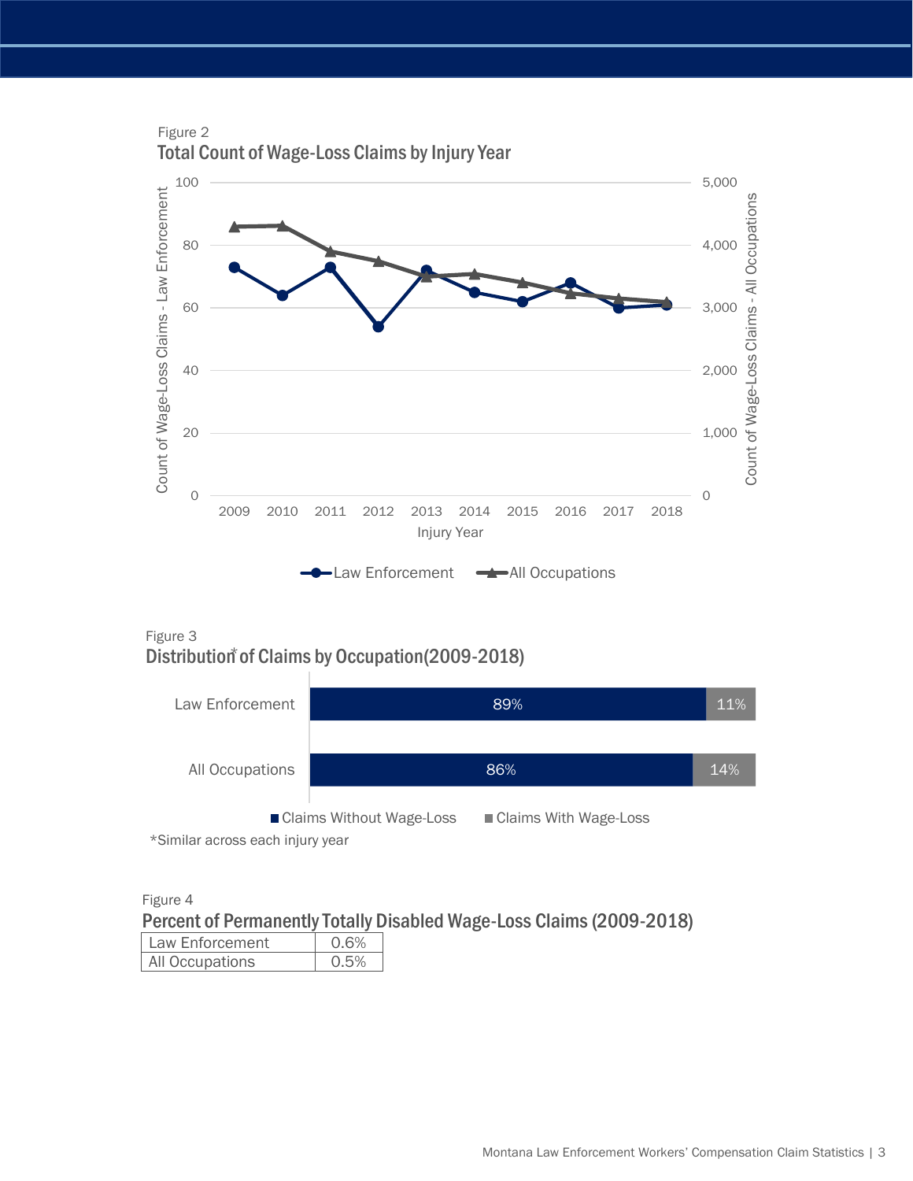

Figure 3 Distribution of Claims by Occupation (2009-2018)



\*Similar across each injury year

Figure 4

Percent of Permanently Totally Disabled Wage-Loss Claims (2009-2018)

| Law Enforcement | 0 6% |
|-----------------|------|
| All Occupations |      |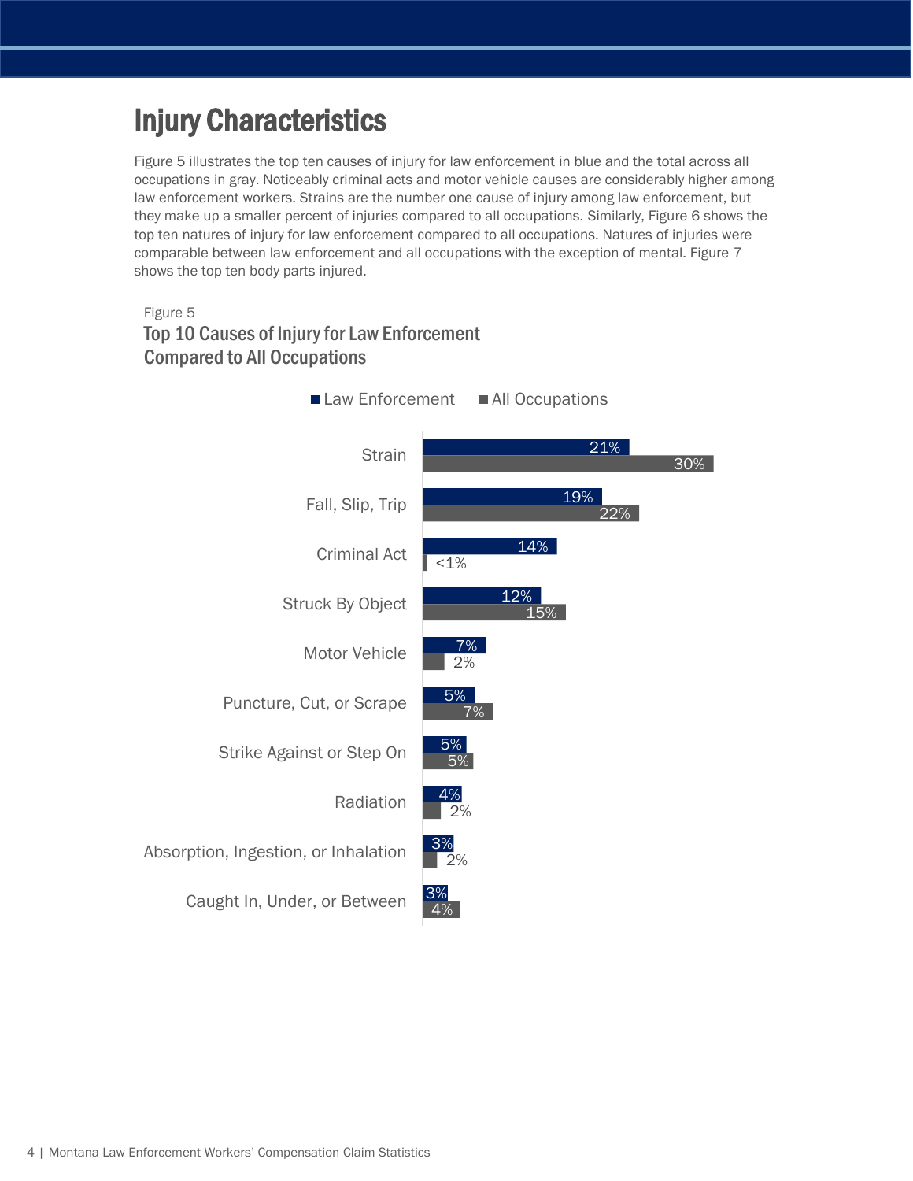## Injury Characteristics

Figure 5 illustrates the top ten causes of injury for law enforcement in blue and the total across all occupations in gray. Noticeably criminal acts and motor vehicle causes are considerably higher among law enforcement workers. Strains are the number one cause of injury among law enforcement, but they make up a smaller percent of injuries compared to all occupations. Similarly, Figure 6 shows the top ten natures of injury for law enforcement compared to all occupations. Natures of injuries were comparable between law enforcement and all occupations with the exception of mental. Figure 7 shows the top ten body parts injured.

#### Figure 5 Top 10 Causes of Injury for Law Enforcement Compared to All Occupations

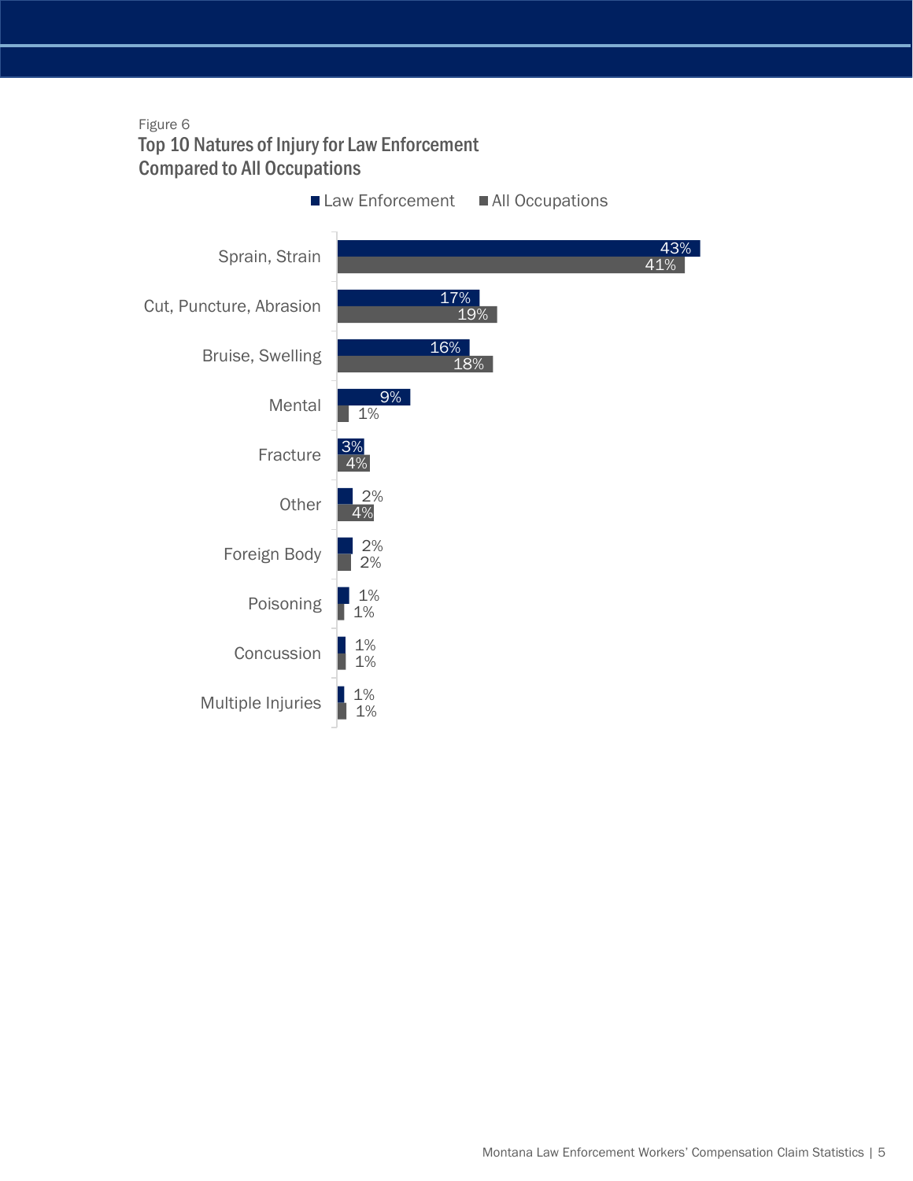#### Figure 6 Top 10 Natures of Injury for Law Enforcement Compared to All Occupations

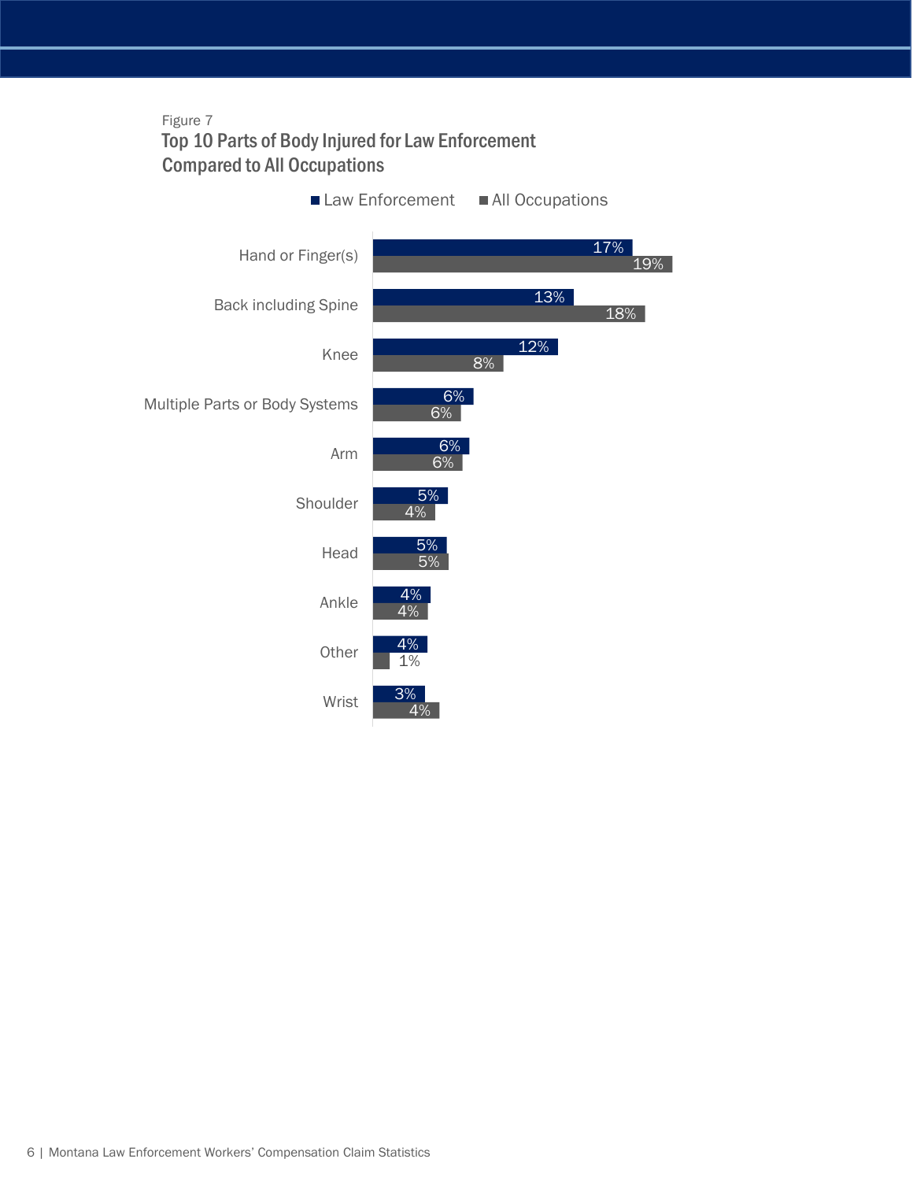#### Figure 7 Top 10 Parts of Body Injured for Law Enforcement Compared to All Occupations

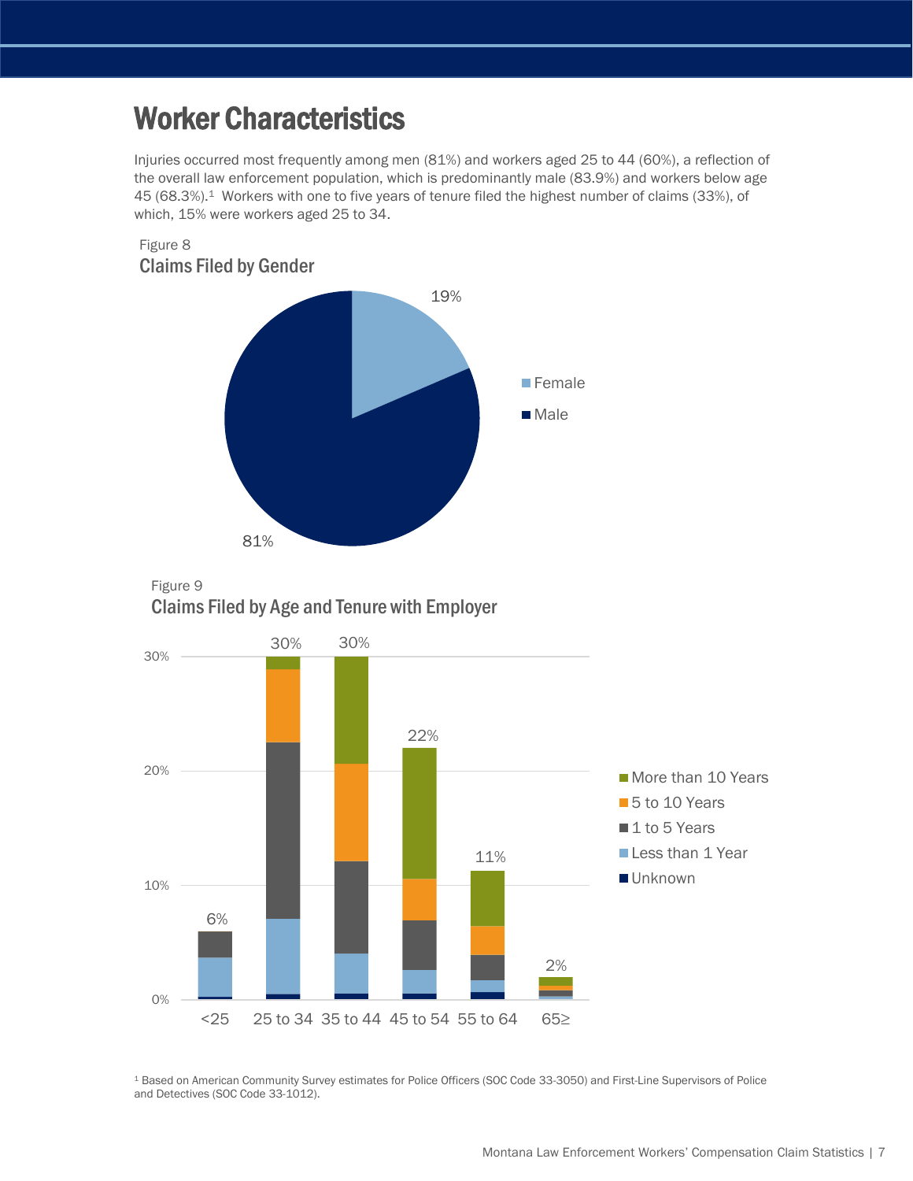## Worker Characteristics

Injuries occurred most frequently among men (81%) and workers aged 25 to 44 (60%), a reflection of the overall law enforcement population, which is predominantly male (83.9%) and workers below age 45 (68.3%).1 Workers with one to five years of tenure filed the highest number of claims (33%), of which, 15% were workers aged 25 to 34.







<sup>1</sup> Based on American Community Survey estimates for Police Officers (SOC Code 33-3050) and First-Line Supervisors of Police and Detectives (SOC Code 33-1012).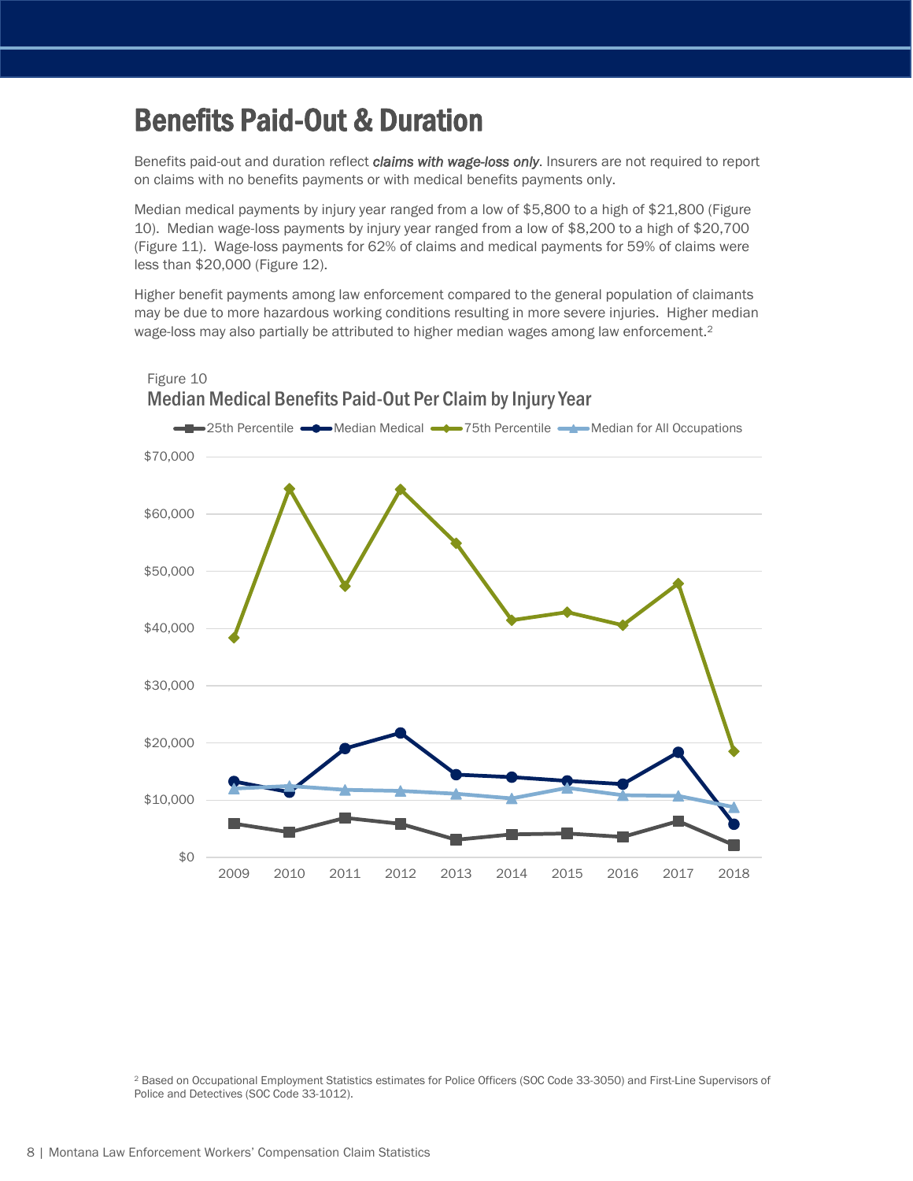### Benefits Paid-Out & Duration

Benefits paid-out and duration reflect *claims with wage-loss only*. Insurers are not required to report on claims with no benefits payments or with medical benefits payments only.

Median medical payments by injury year ranged from a low of \$5,800 to a high of \$21,800 (Figure 10). Median wage-loss payments by injury year ranged from a low of \$8,200 to a high of \$20,700 (Figure 11). Wage-loss payments for 62% of claims and medical payments for 59% of claims were less than \$20,000 (Figure 12).

Higher benefit payments among law enforcement compared to the general population of claimants may be due to more hazardous working conditions resulting in more severe injuries. Higher median wage-loss may also partially be attributed to higher median wages among law enforcement.<sup>2</sup>



<sup>2</sup> Based on Occupational Employment Statistics estimates for Police Officers (SOC Code 33-3050) and First-Line Supervisors of Police and Detectives (SOC Code 33-1012).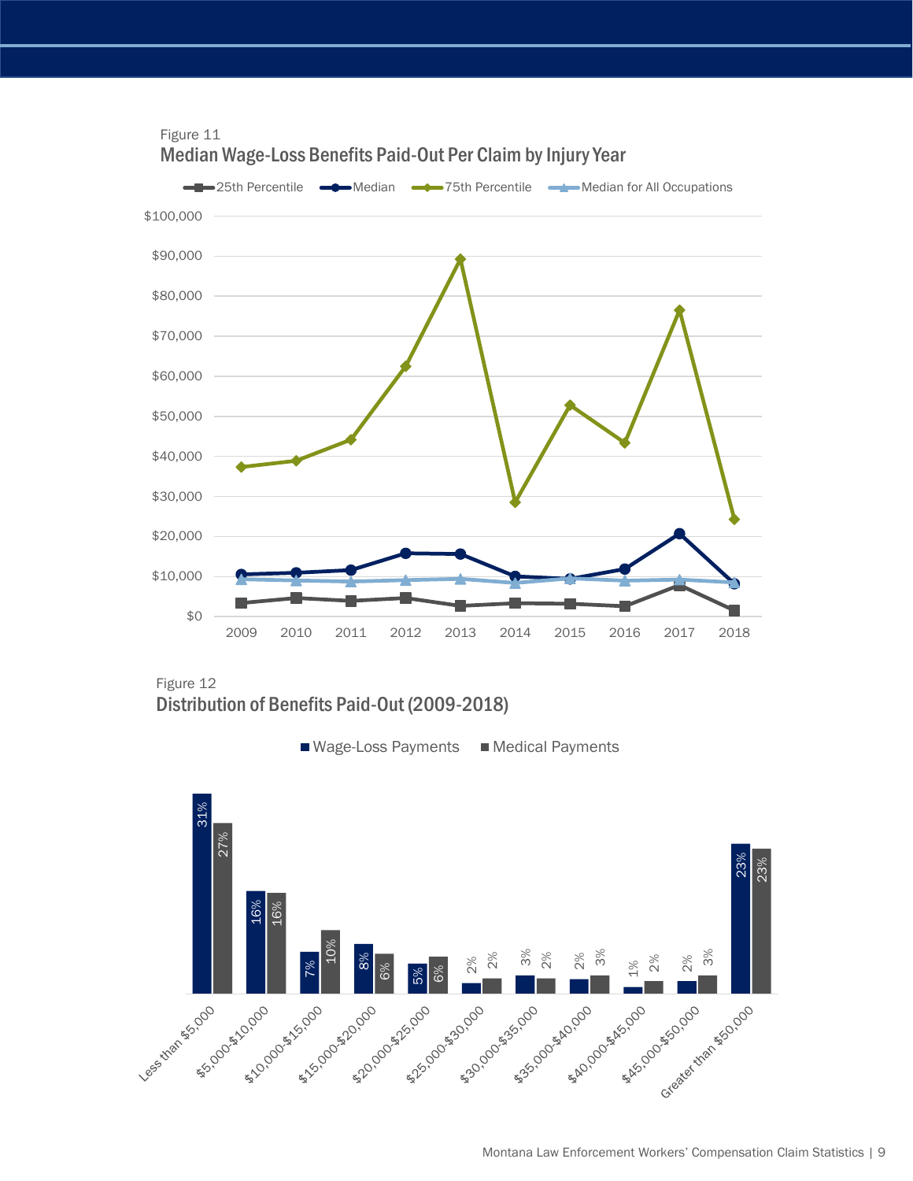

Figure 12 Distribution of Benefits Paid-Out (2009-2018)